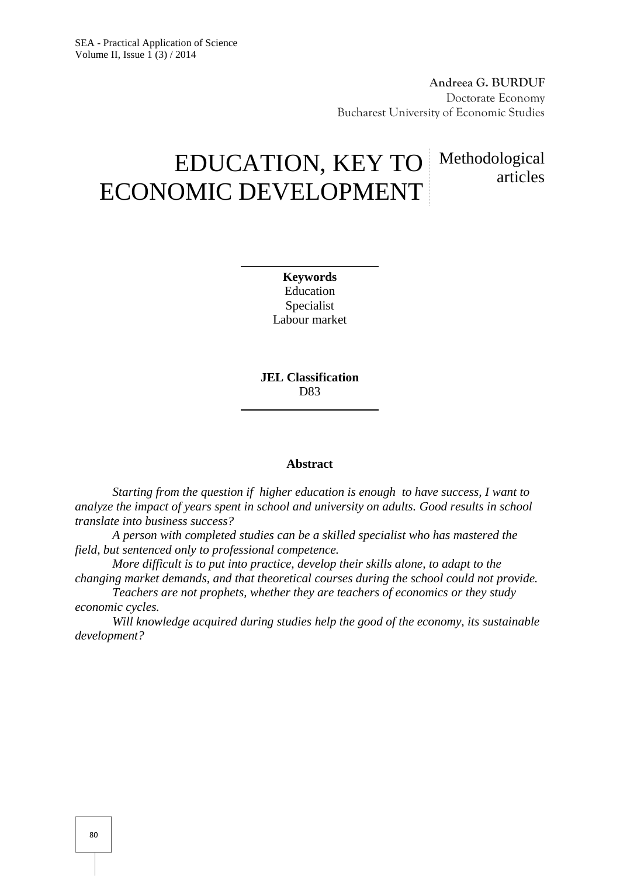**Andreea G. BURDUF** Doctorate Economy Bucharest University of Economic Studies

articles

# EDUCATION, KEY TO Methodological ECONOMIC DEVELOPMENT

**Keywords** Education Specialist Labour market

**JEL Classification** D83

#### **Abstract**

*Starting from the question if higher education is enough to have success, I want to analyze the impact of years spent in school and university on adults. Good results in school translate into business success?*

*A person with completed studies can be a skilled specialist who has mastered the field, but sentenced only to professional competence.*

*More difficult is to put into practice, develop their skills alone, to adapt to the changing market demands, and that theoretical courses during the school could not provide.*

*Teachers are not prophets, whether they are teachers of economics or they study economic cycles.*

*Will knowledge acquired during studies help the good of the economy, its sustainable development?*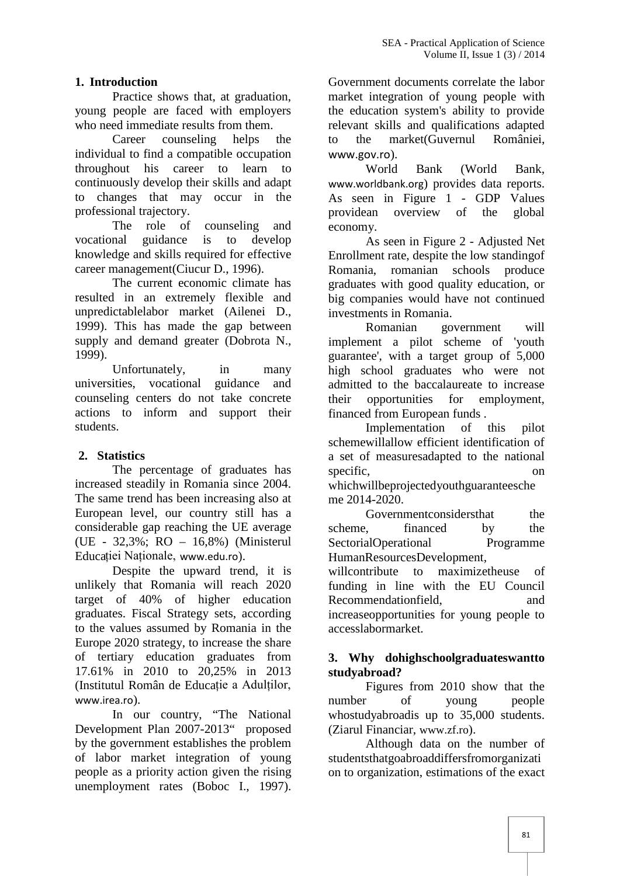## **1. Introduction**

Practice shows that, at graduation, young people are faced with employers who need immediate results from them.

Career counseling helps the individual to find a compatible occupation throughout his career to learn to continuously develop their skills and adapt to changes that may occur in the professional trajectory.

The role of counseling and vocational guidance is to develop knowledge and skills required for effective career management(Ciucur D., 1996).

The current economic climate has resulted in an extremely flexible and unpredictablelabor market (Ailenei D., 1999). This has made the gap between supply and demand greater (Dobrota N., 1999).

Unfortunately, in many universities, vocational guidance and counseling centers do not take concrete actions to inform and support their students.

## **2. Statistics**

The percentage of graduates has increased steadily in Romania since 2004. The same trend has been increasing also at European level, our country still has a considerable gap reaching the UE average (UE - 32,3%; RO – 16,8%) (Ministerul Educației Naționale, www.edu.ro).

Despite the upward trend, it is unlikely that Romania will reach 2020 target of 40% of higher education graduates. Fiscal Strategy sets, according to the values assumed by Romania in the Europe 2020 strategy, to increase the share of tertiary education graduates from 17.61% in 2010 to 20,25% in 2013 (Institutul Român de Educație a Adulților, www.irea.ro).

In our country, "The National Development Plan 2007-2013" proposed by the government establishes the problem of labor market integration of young people as a priority action given the rising unemployment rates (Boboc I., 1997).

Government documents correlate the labor market integration of young people with the education system's ability to provide relevant skills and qualifications adapted the market(Guvernul României, www.gov.ro).

World Bank (World Bank, www.worldbank.org) provides data reports. As seen in Figure 1 - GDP Values providean overview of the global economy.

As seen in Figure 2 - Adjusted Net Enrollment rate, despite the low standingof Romania, romanian schools produce graduates with good quality education, or big companies would have not continued investments in Romania.

Romanian government will implement a pilot scheme of 'youth guarantee', with a target group of 5,000 high school graduates who were not admitted to the baccalaureate to increase opportunities for employment, financed from European funds .

Implementation of this pilot schemewillallow efficient identification of a set of measuresadapted to the national specific, on

whichwillbeprojectedyouthguaranteesche me 2014-2020.

Governmentconsidersthat the financed by the SectorialOperational Programme HumanResourcesDevelopment,

willcontribute to maximizetheuse of funding in line with the EU Council Recommendationfield, and increaseopportunities for young people to accesslabormarket.

#### **3. Why dohighschoolgraduateswantto studyabroad?**

Figures from 2010 show that the number of young people whostudyabroadis up to 35,000 students. (Ziarul Financiar, www.zf.ro).

Although data on the number of studentsthatgoabroaddiffersfromorganizati on to organization, estimations of the exact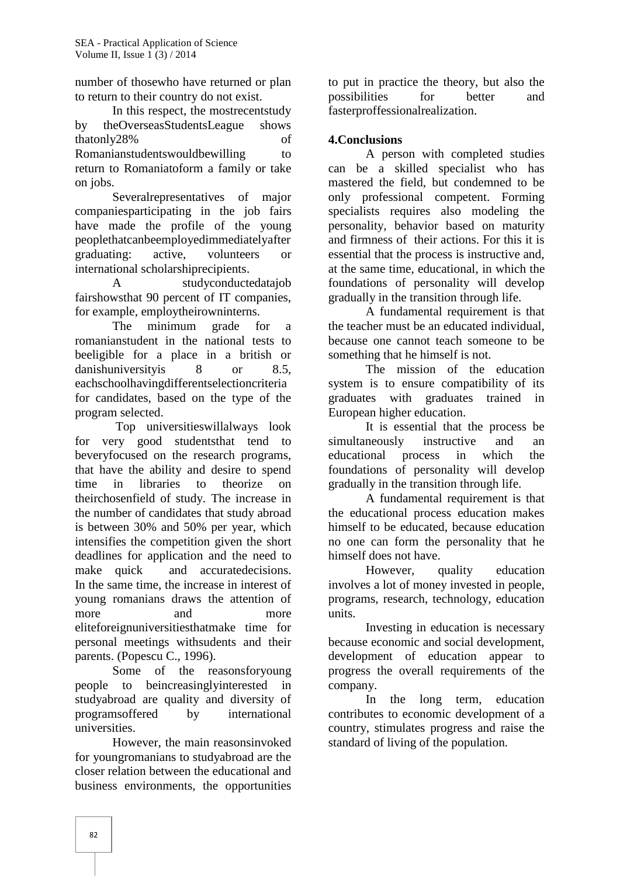number of thosewho have returned or plan to return to their country do not exist.

In this respect, the mostrecentstudy by theOverseasStudentsLeague shows thatonly28% of Romanianstudentswouldbewilling to return to Romaniatoform a family or take

on jobs.<br>Severalrepresentatives of major companiesparticipating in the job fairs have made the profile of the young peoplethatcanbeemployedimmediatelyafter graduating: active, volunteers or international scholarshiprecipients.

A studyconductedatajob fairshowsthat 90 percent of IT companies, for example, employtheirowninterns.

The minimum grade for a romanianstudent in the national tests to beeligible for a place in a british or danishuniversityis 8 or 8.5, eachschoolhavingdifferentselectioncriteria for candidates, based on the type of the program selected.

Top universitieswillalways look for very good studentsthat tend to beveryfocused on the research programs, that have the ability and desire to spend time in libraries to theorize on theirchosenfield of study. The increase in the number of candidates that study abroad is between 30% and 50% per year, which intensifies the competition given the short deadlines for application and the need to make quick and accuratedecisions. In the same time, the increase in interest of young romanians draws the attention of more and more u eliteforeignuniversitiesthatmake time for personal meetings withsudents and their parents. (Popescu C., 1996).

Some of the reasonsforyoung people to beincreasinglyinterested in studyabroad are quality and diversity of programsoffered by international universities.

However, the main reasonsinvoked for youngromanians to studyabroad are the closer relation between the educational and business environments, the opportunities

to put in practice the theory, but also the possibilities for better and fasterproffessionalrealization.

## **4.Conclusions**

A person with completed studies can be a skilled specialist who has mastered the field, but condemned to be only professional competent. Forming specialists requires also modeling the personality, behavior based on maturity and firmness of their actions. For this it is essential that the process is instructive and, at the same time, educational, in which the foundations of personality will develop gradually in the transition through life.

A fundamental requirement is that the teacher must be an educated individual, because one cannot teach someone to be something that he himself is not.

The mission of the education system is to ensure compatibility of its graduates with graduates trained in European higher education.

It is essential that the process be simultaneously instructive and an educational process in which the foundations of personality will develop gradually in the transition through life.

A fundamental requirement is that the educational process education makes himself to be educated, because education no one can form the personality that he himself does not have.

However, quality education involves a lot of money invested in people, programs, research, technology, education units.

Investing in education is necessary because economic and social development, development of education appear to progress the overall requirements of the company.

In the long term, education contributes to economic development of a country, stimulates progress and raise the standard of living of the population.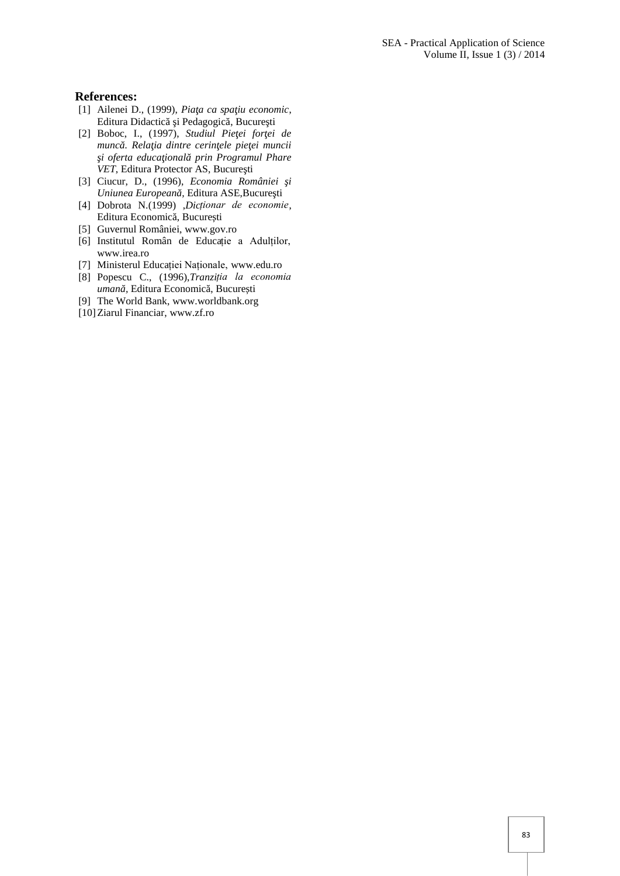#### **References:**

- [1] Ailenei D., (1999), *Pia a ca spa iu economic*, Editura Didactic i Pedagogic, Bucure ti
- [2] Boboc, I., (1997), *Studiul Pie ei for ei de munc* . Rela ia dintre cerin ele pie ei muncii  $i$  oferta educa ional prin Programul Phare *VET*, Editura Protector AS, Bucure ti
- [3] Ciucur, D., (1996), *Economia României şi Uniunea European*, Editura ASE,Bucure ti
- [4] Dobrota N.(1999) ,*Dicționar de economie*, Editura Economic, Bucure ți
- [5] Guvernul României, www.gov.ro
- [6] Institutul Român de Educație a Adulților, www.irea.ro
- [7] Ministerul Educației Naționale, www.edu.ro
- [8] Popescu C., (1996),*Tranziția la economia uman*, Editura Economic, Bucure ți
- [9] The World Bank, www.worldbank.org
- [10]Ziarul Financiar, www.zf.ro